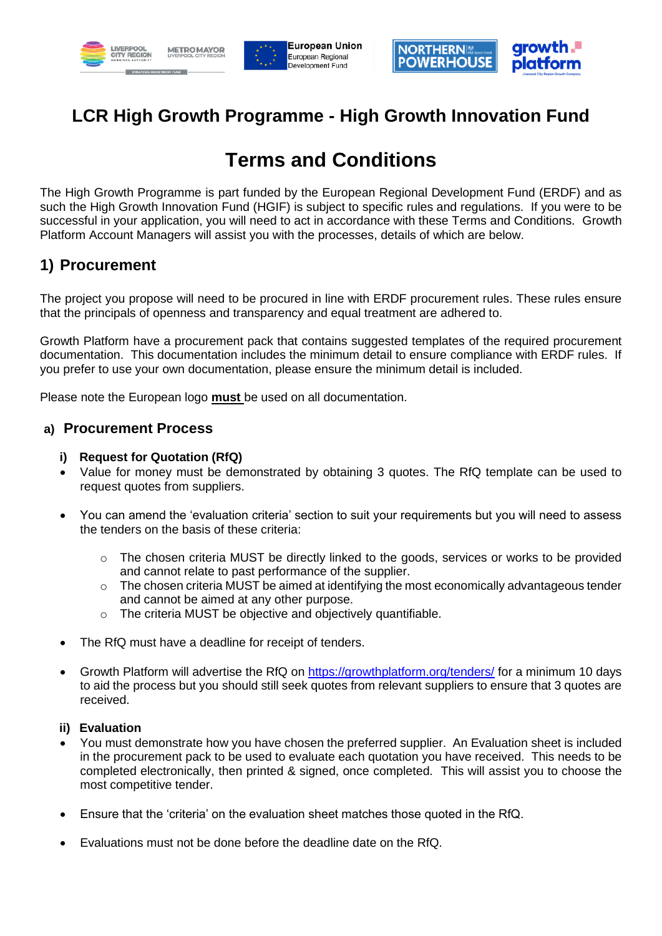





# **LCR High Growth Programme - High Growth Innovation Fund**

# **Terms and Conditions**

The High Growth Programme is part funded by the European Regional Development Fund (ERDF) and as such the High Growth Innovation Fund (HGIF) is subject to specific rules and regulations. If you were to be successful in your application, you will need to act in accordance with these Terms and Conditions. Growth Platform Account Managers will assist you with the processes, details of which are below.

# **1) Procurement**

The project you propose will need to be procured in line with ERDF procurement rules. These rules ensure that the principals of openness and transparency and equal treatment are adhered to.

Growth Platform have a procurement pack that contains suggested templates of the required procurement documentation. This documentation includes the minimum detail to ensure compliance with ERDF rules. If you prefer to use your own documentation, please ensure the minimum detail is included.

Please note the European logo **must** be used on all documentation.

#### **a) Procurement Process**

#### **i) Request for Quotation (RfQ)**

- Value for money must be demonstrated by obtaining 3 quotes. The RfQ template can be used to request quotes from suppliers.
- You can amend the 'evaluation criteria' section to suit your requirements but you will need to assess the tenders on the basis of these criteria:
	- $\circ$  The chosen criteria MUST be directly linked to the goods, services or works to be provided and cannot relate to past performance of the supplier.
	- $\circ$  The chosen criteria MUST be aimed at identifying the most economically advantageous tender and cannot be aimed at any other purpose.
	- o The criteria MUST be objective and objectively quantifiable.
- The RfQ must have a deadline for receipt of tenders.
- Growth Platform will advertise the RfQ on<https://growthplatform.org/tenders/> for a minimum 10 days to aid the process but you should still seek quotes from relevant suppliers to ensure that 3 quotes are received.

#### **ii) Evaluation**

- You must demonstrate how you have chosen the preferred supplier. An Evaluation sheet is included in the procurement pack to be used to evaluate each quotation you have received. This needs to be completed electronically, then printed & signed, once completed. This will assist you to choose the most competitive tender.
- Ensure that the 'criteria' on the evaluation sheet matches those quoted in the RfQ.
- Evaluations must not be done before the deadline date on the RfQ.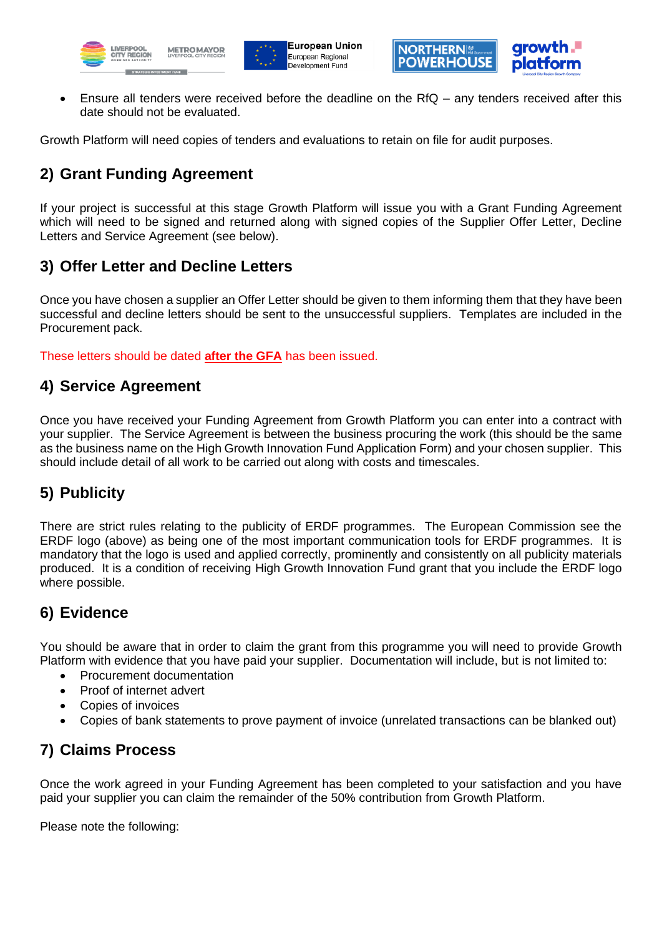





• Ensure all tenders were received before the deadline on the RfQ – any tenders received after this date should not be evaluated.

Growth Platform will need copies of tenders and evaluations to retain on file for audit purposes.

# **2) Grant Funding Agreement**

If your project is successful at this stage Growth Platform will issue you with a Grant Funding Agreement which will need to be signed and returned along with signed copies of the Supplier Offer Letter, Decline Letters and Service Agreement (see below).

#### **3) Offer Letter and Decline Letters**

Once you have chosen a supplier an Offer Letter should be given to them informing them that they have been successful and decline letters should be sent to the unsuccessful suppliers. Templates are included in the Procurement pack.

These letters should be dated **after the GFA** has been issued.

#### **4) Service Agreement**

Once you have received your Funding Agreement from Growth Platform you can enter into a contract with your supplier. The Service Agreement is between the business procuring the work (this should be the same as the business name on the High Growth Innovation Fund Application Form) and your chosen supplier. This should include detail of all work to be carried out along with costs and timescales.

# **5) Publicity**

There are strict rules relating to the publicity of ERDF programmes. The European Commission see the ERDF logo (above) as being one of the most important communication tools for ERDF programmes. It is mandatory that the logo is used and applied correctly, prominently and consistently on all publicity materials produced. It is a condition of receiving High Growth Innovation Fund grant that you include the ERDF logo where possible.

### **6) Evidence**

You should be aware that in order to claim the grant from this programme you will need to provide Growth Platform with evidence that you have paid your supplier. Documentation will include, but is not limited to:

- Procurement documentation
- Proof of internet advert
- Copies of invoices
- Copies of bank statements to prove payment of invoice (unrelated transactions can be blanked out)

### **7) Claims Process**

Once the work agreed in your Funding Agreement has been completed to your satisfaction and you have paid your supplier you can claim the remainder of the 50% contribution from Growth Platform.

Please note the following: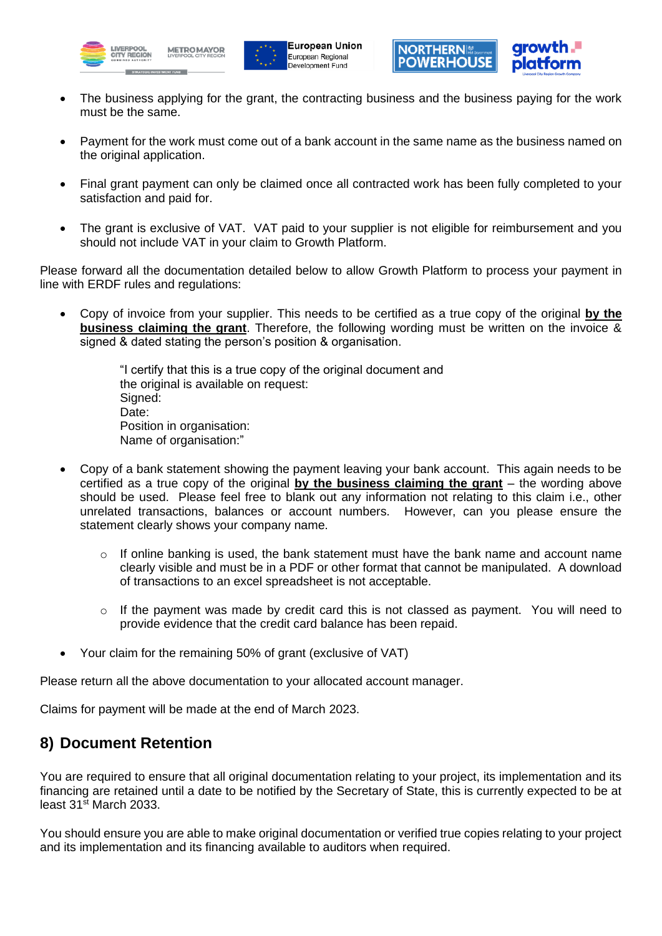





- The business applying for the grant, the contracting business and the business paying for the work must be the same.
- Payment for the work must come out of a bank account in the same name as the business named on the original application.
- Final grant payment can only be claimed once all contracted work has been fully completed to your satisfaction and paid for.
- The grant is exclusive of VAT. VAT paid to your supplier is not eligible for reimbursement and you should not include VAT in your claim to Growth Platform.

Please forward all the documentation detailed below to allow Growth Platform to process your payment in line with ERDF rules and regulations:

• Copy of invoice from your supplier. This needs to be certified as a true copy of the original **by the business claiming the grant**. Therefore, the following wording must be written on the invoice & signed & dated stating the person's position & organisation.

> "I certify that this is a true copy of the original document and the original is available on request: Signed: Date: Position in organisation: Name of organisation:"

- Copy of a bank statement showing the payment leaving your bank account. This again needs to be certified as a true copy of the original **by the business claiming the grant** – the wording above should be used. Please feel free to blank out any information not relating to this claim i.e., other unrelated transactions, balances or account numbers. However, can you please ensure the statement clearly shows your company name.
	- o If online banking is used, the bank statement must have the bank name and account name clearly visible and must be in a PDF or other format that cannot be manipulated. A download of transactions to an excel spreadsheet is not acceptable.
	- $\circ$  If the payment was made by credit card this is not classed as payment. You will need to provide evidence that the credit card balance has been repaid.
- Your claim for the remaining 50% of grant (exclusive of VAT)

Please return all the above documentation to your allocated account manager.

Claims for payment will be made at the end of March 2023.

#### **8) Document Retention**

You are required to ensure that all original documentation relating to your project, its implementation and its financing are retained until a date to be notified by the Secretary of State, this is currently expected to be at least  $31<sup>st</sup>$  March 2033.

You should ensure you are able to make original documentation or verified true copies relating to your project and its implementation and its financing available to auditors when required.